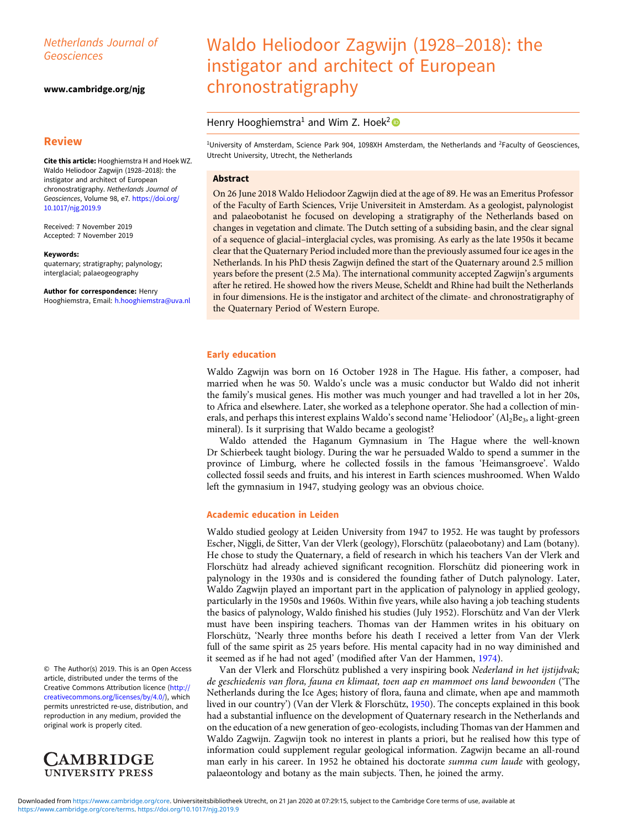# Netherlands Journal of Geosciences

#### [www.cambridge.org/njg](https://www.cambridge.org/njg)

# **Review**

Cite this article: Hooghiemstra H and Hoek WZ. Waldo Heliodoor Zagwijn (1928–2018): the instigator and architect of European chronostratigraphy. Netherlands Journal of Geosciences, Volume 98, e7. [https://doi.org/](https://doi.org/10.1017/njg.2019.9) [10.1017/njg.2019.9](https://doi.org/10.1017/njg.2019.9)

Received: 7 November 2019 Accepted: 7 November 2019

#### Keywords:

quaternary; stratigraphy; palynology; interglacial; palaeogeography

Author for correspondence: Henry Hooghiemstra, Email: [h.hooghiemstra@uva.nl](mailto:h.hooghiemstra@uva.nl)

© The Author(s) 2019. This is an Open Access article, distributed under the terms of the Creative Commons Attribution licence ([http://](http://creativecommons.org/licenses/by/4.0/) [creativecommons.org/licenses/by/4.0/\)](http://creativecommons.org/licenses/by/4.0/), which permits unrestricted re-use, distribution, and reproduction in any medium, provided the original work is properly cited.



# Waldo Heliodoor Zagwijn (1928–2018): the instigator and architect of European chronostratigraphy

# Henry Hooghiemstra<sup>1</sup> and Wim Z. Hoek<sup>2</sup>

<sup>1</sup>University of Amsterdam, Science Park 904, 1098XH Amsterdam, the Netherlands and <sup>2</sup>Faculty of Geosciences, Utrecht University, Utrecht, the Netherlands

# Abstract

On 26 June 2018 Waldo Heliodoor Zagwijn died at the age of 89. He was an Emeritus Professor of the Faculty of Earth Sciences, Vrije Universiteit in Amsterdam. As a geologist, palynologist and palaeobotanist he focused on developing a stratigraphy of the Netherlands based on changes in vegetation and climate. The Dutch setting of a subsiding basin, and the clear signal of a sequence of glacial–interglacial cycles, was promising. As early as the late 1950s it became clear that the Quaternary Period included more than the previously assumed four ice ages in the Netherlands. In his PhD thesis Zagwijn defined the start of the Quaternary around 2.5 million years before the present (2.5 Ma). The international community accepted Zagwijn's arguments after he retired. He showed how the rivers Meuse, Scheldt and Rhine had built the Netherlands in four dimensions. He is the instigator and architect of the climate- and chronostratigraphy of the Quaternary Period of Western Europe.

## Early education

Waldo Zagwijn was born on 16 October 1928 in The Hague. His father, a composer, had married when he was 50. Waldo's uncle was a music conductor but Waldo did not inherit the family's musical genes. His mother was much younger and had travelled a lot in her 20s, to Africa and elsewhere. Later, she worked as a telephone operator. She had a collection of minerals, and perhaps this interest explains Waldo's second name 'Heliodoor' ( $Al_2Be_3$ , a light-green mineral). Is it surprising that Waldo became a geologist?

Waldo attended the Haganum Gymnasium in The Hague where the well-known Dr Schierbeek taught biology. During the war he persuaded Waldo to spend a summer in the province of Limburg, where he collected fossils in the famous 'Heimansgroeve'. Waldo collected fossil seeds and fruits, and his interest in Earth sciences mushroomed. When Waldo left the gymnasium in 1947, studying geology was an obvious choice.

# Academic education in Leiden

Waldo studied geology at Leiden University from 1947 to 1952. He was taught by professors Escher, Niggli, de Sitter, Van der Vlerk (geology), Florschütz (palaeobotany) and Lam (botany). He chose to study the Quaternary, a field of research in which his teachers Van der Vlerk and Florschütz had already achieved significant recognition. Florschütz did pioneering work in palynology in the 1930s and is considered the founding father of Dutch palynology. Later, Waldo Zagwijn played an important part in the application of palynology in applied geology, particularly in the 1950s and 1960s. Within five years, while also having a job teaching students the basics of palynology, Waldo finished his studies (July 1952). Florschütz and Van der Vlerk must have been inspiring teachers. Thomas van der Hammen writes in his obituary on Florschütz, 'Nearly three months before his death I received a letter from Van der Vlerk full of the same spirit as 25 years before. His mental capacity had in no way diminished and it seemed as if he had not aged' (modified after Van der Hammen, [1974](#page-6-0)).

Van der Vlerk and Florschütz published a very inspiring book Nederland in het ijstijdvak; de geschiedenis van flora, fauna en klimaat, toen aap en mammoet ons land bewoonden ('The Netherlands during the Ice Ages; history of flora, fauna and climate, when ape and mammoth lived in our country') (Van der Vlerk & Florschütz, [1950](#page-6-0)). The concepts explained in this book had a substantial influence on the development of Quaternary research in the Netherlands and on the education of a new generation of geo-ecologists, including Thomas van der Hammen and Waldo Zagwijn. Zagwijn took no interest in plants a priori, but he realised how this type of information could supplement regular geological information. Zagwijn became an all-round man early in his career. In 1952 he obtained his doctorate *summa cum laude* with geology, palaeontology and botany as the main subjects. Then, he joined the army.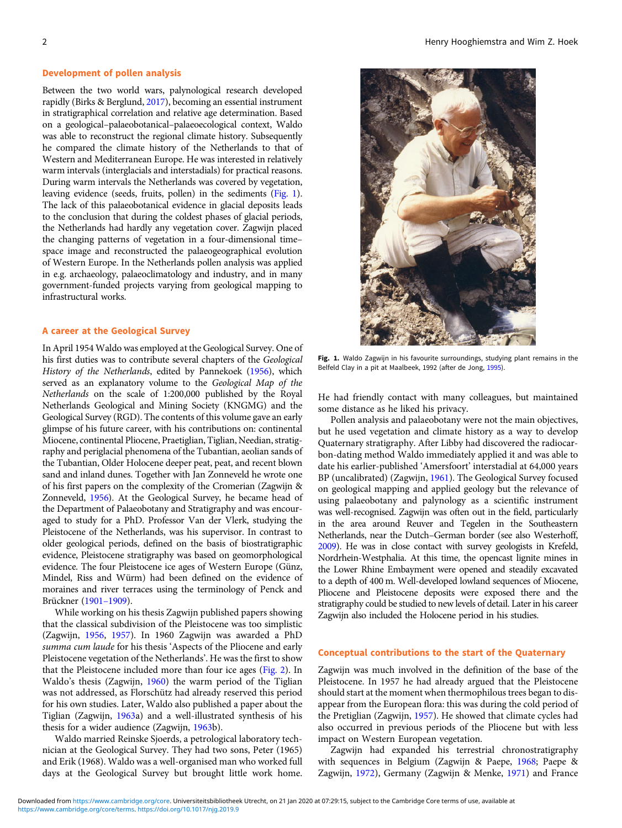## Development of pollen analysis

Between the two world wars, palynological research developed rapidly (Birks & Berglund, [2017\)](#page-5-0), becoming an essential instrument in stratigraphical correlation and relative age determination. Based on a geological–palaeobotanical–palaeoecological context, Waldo was able to reconstruct the regional climate history. Subsequently he compared the climate history of the Netherlands to that of Western and Mediterranean Europe. He was interested in relatively warm intervals (interglacials and interstadials) for practical reasons. During warm intervals the Netherlands was covered by vegetation, leaving evidence (seeds, fruits, pollen) in the sediments (Fig. 1). The lack of this palaeobotanical evidence in glacial deposits leads to the conclusion that during the coldest phases of glacial periods, the Netherlands had hardly any vegetation cover. Zagwijn placed the changing patterns of vegetation in a four-dimensional time– space image and reconstructed the palaeogeographical evolution of Western Europe. In the Netherlands pollen analysis was applied in e.g. archaeology, palaeoclimatology and industry, and in many government-funded projects varying from geological mapping to infrastructural works.

#### A career at the Geological Survey

In April 1954 Waldo was employed at the Geological Survey. One of his first duties was to contribute several chapters of the Geological History of the Netherlands, edited by Pannekoek [\(1956](#page-6-0)), which served as an explanatory volume to the Geological Map of the Netherlands on the scale of 1:200,000 published by the Royal Netherlands Geological and Mining Society (KNGMG) and the Geological Survey (RGD). The contents of this volume gave an early glimpse of his future career, with his contributions on: continental Miocene, continental Pliocene, Praetiglian, Tiglian, Needian, stratigraphy and periglacial phenomena of the Tubantian, aeolian sands of the Tubantian, Older Holocene deeper peat, peat, and recent blown sand and inland dunes. Together with Jan Zonneveld he wrote one of his first papers on the complexity of the Cromerian (Zagwijn & Zonneveld, [1956\)](#page-7-0). At the Geological Survey, he became head of the Department of Palaeobotany and Stratigraphy and was encouraged to study for a PhD. Professor Van der Vlerk, studying the Pleistocene of the Netherlands, was his supervisor. In contrast to older geological periods, defined on the basis of biostratigraphic evidence, Pleistocene stratigraphy was based on geomorphological evidence. The four Pleistocene ice ages of Western Europe (Günz, Mindel, Riss and Würm) had been defined on the evidence of moraines and river terraces using the terminology of Penck and Brückner [\(1901](#page-6-0)–1909).

While working on his thesis Zagwijn published papers showing that the classical subdivision of the Pleistocene was too simplistic (Zagwijn, [1956,](#page-6-0) [1957\)](#page-6-0). In 1960 Zagwijn was awarded a PhD summa cum laude for his thesis 'Aspects of the Pliocene and early Pleistocene vegetation of the Netherlands'. He was the first to show that the Pleistocene included more than four ice ages ([Fig. 2\)](#page-2-0). In Waldo's thesis (Zagwijn, [1960\)](#page-6-0) the warm period of the Tiglian was not addressed, as Florschütz had already reserved this period for his own studies. Later, Waldo also published a paper about the Tiglian (Zagwijn, [1963a](#page-6-0)) and a well-illustrated synthesis of his thesis for a wider audience (Zagwijn, [1963](#page-6-0)b).

Waldo married Reinske Sjoerds, a petrological laboratory technician at the Geological Survey. They had two sons, Peter (1965) and Erik (1968). Waldo was a well-organised man who worked full days at the Geological Survey but brought little work home.



Fig. 1. Waldo Zagwijn in his favourite surroundings, studying plant remains in the Belfeld Clay in a pit at Maalbeek, 1992 (after de Jong, [1995\)](#page-5-0).

He had friendly contact with many colleagues, but maintained some distance as he liked his privacy.

Pollen analysis and palaeobotany were not the main objectives, but he used vegetation and climate history as a way to develop Quaternary stratigraphy. After Libby had discovered the radiocarbon-dating method Waldo immediately applied it and was able to date his earlier-published 'Amersfoort' interstadial at 64,000 years BP (uncalibrated) (Zagwijn, [1961](#page-6-0)). The Geological Survey focused on geological mapping and applied geology but the relevance of using palaeobotany and palynology as a scientific instrument was well-recognised. Zagwijn was often out in the field, particularly in the area around Reuver and Tegelen in the Southeastern Netherlands, near the Dutch–German border (see also Westerhoff, [2009\)](#page-6-0). He was in close contact with survey geologists in Krefeld, Nordrhein-Westphalia. At this time, the opencast lignite mines in the Lower Rhine Embayment were opened and steadily excavated to a depth of 400 m. Well-developed lowland sequences of Miocene, Pliocene and Pleistocene deposits were exposed there and the stratigraphy could be studied to new levels of detail. Later in his career Zagwijn also included the Holocene period in his studies.

#### Conceptual contributions to the start of the Quaternary

Zagwijn was much involved in the definition of the base of the Pleistocene. In 1957 he had already argued that the Pleistocene should start at the moment when thermophilous trees began to disappear from the European flora: this was during the cold period of the Pretiglian (Zagwijn, [1957\)](#page-6-0). He showed that climate cycles had also occurred in previous periods of the Pliocene but with less impact on Western European vegetation.

Zagwijn had expanded his terrestrial chronostratigraphy with sequences in Belgium (Zagwijn & Paepe, [1968](#page-7-0); Paepe & Zagwijn, [1972\)](#page-6-0), Germany (Zagwijn & Menke, [1971\)](#page-7-0) and France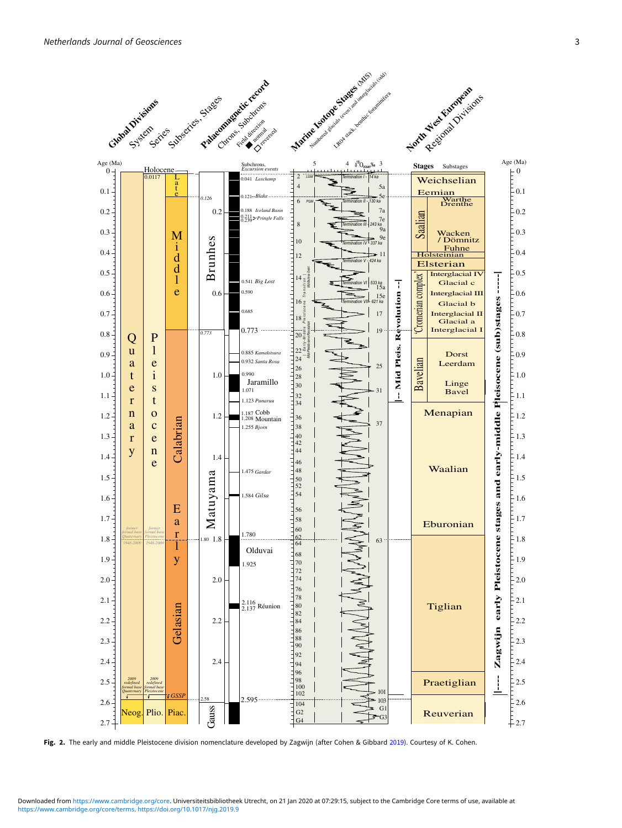<span id="page-2-0"></span>

Fig. 2. The early and middle Pleistocene division nomenclature developed by Zagwijn (after Cohen & Gibbard [2019\)](#page-5-0). Courtesy of K. Cohen.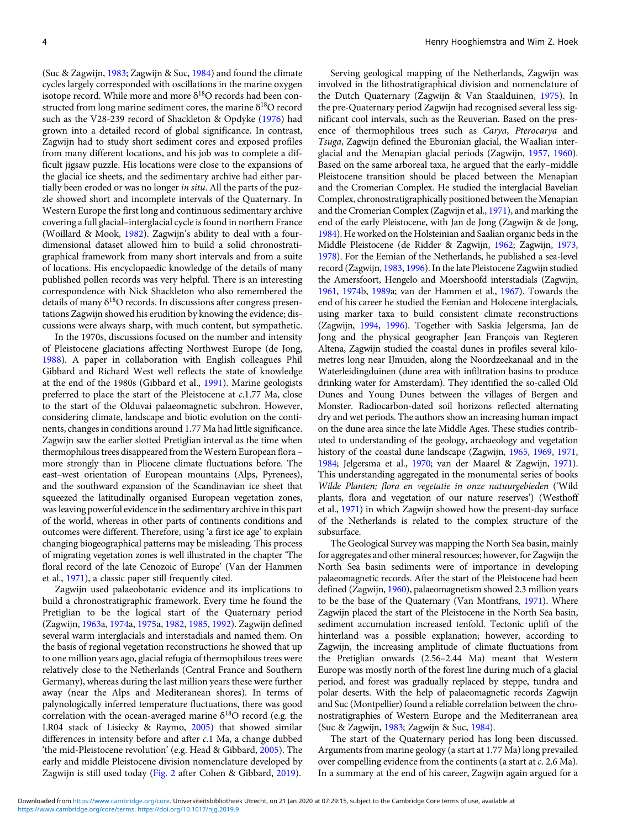(Suc & Zagwijn, [1983;](#page-6-0) Zagwijn & Suc, [1984\)](#page-7-0) and found the climate cycles largely corresponded with oscillations in the marine oxygen isotope record. While more and more  $\delta^{18}O$  records had been constructed from long marine sediment cores, the marine  $\delta^{18}O$  record such as the V28-239 record of Shackleton & Opdyke ([1976](#page-6-0)) had grown into a detailed record of global significance. In contrast, Zagwijn had to study short sediment cores and exposed profiles from many different locations, and his job was to complete a difficult jigsaw puzzle. His locations were close to the expansions of the glacial ice sheets, and the sedimentary archive had either partially been eroded or was no longer in situ. All the parts of the puzzle showed short and incomplete intervals of the Quaternary. In Western Europe the first long and continuous sedimentary archive covering a full glacial–interglacial cycle is found in northern France (Woillard & Mook, [1982](#page-6-0)). Zagwijn's ability to deal with a fourdimensional dataset allowed him to build a solid chronostratigraphical framework from many short intervals and from a suite of locations. His encyclopaedic knowledge of the details of many published pollen records was very helpful. There is an interesting correspondence with Nick Shackleton who also remembered the details of many  $\delta^{18}O$  records. In discussions after congress presentations Zagwijn showed his erudition by knowing the evidence; discussions were always sharp, with much content, but sympathetic.

In the 1970s, discussions focused on the number and intensity of Pleistocene glaciations affecting Northwest Europe (de Jong, [1988\)](#page-5-0). A paper in collaboration with English colleagues Phil Gibbard and Richard West well reflects the state of knowledge at the end of the 1980s (Gibbard et al., [1991](#page-5-0)). Marine geologists preferred to place the start of the Pleistocene at c.1.77 Ma, close to the start of the Olduvai palaeomagnetic subchron. However, considering climate, landscape and biotic evolution on the continents, changes in conditions around 1.77 Ma had little significance. Zagwijn saw the earlier slotted Pretiglian interval as the time when thermophilous trees disappeared from the Western European flora – more strongly than in Pliocene climate fluctuations before. The east–west orientation of European mountains (Alps, Pyrenees), and the southward expansion of the Scandinavian ice sheet that squeezed the latitudinally organised European vegetation zones, was leaving powerful evidence in the sedimentary archive in this part of the world, whereas in other parts of continents conditions and outcomes were different. Therefore, using 'a first ice age' to explain changing biogeographical patterns may be misleading. This process of migrating vegetation zones is well illustrated in the chapter 'The floral record of the late Cenozoic of Europe' (Van der Hammen et al., [1971](#page-6-0)), a classic paper still frequently cited.

Zagwijn used palaeobotanic evidence and its implications to build a chronostratigraphic framework. Every time he found the Pretiglian to be the logical start of the Quaternary period (Zagwijn, [1963a](#page-6-0), [1974](#page-6-0)a, [1975a](#page-6-0), [1982](#page-7-0), [1985,](#page-7-0) [1992](#page-7-0)). Zagwijn defined several warm interglacials and interstadials and named them. On the basis of regional vegetation reconstructions he showed that up to one million years ago, glacial refugia of thermophilous trees were relatively close to the Netherlands (Central France and Southern Germany), whereas during the last million years these were further away (near the Alps and Mediteranean shores). In terms of palynologically inferred temperature fluctuations, there was good correlation with the ocean-averaged marine  $\delta^{18}O$  record (e.g. the LR04 stack of Lisiecky & Raymo, [2005](#page-6-0)) that showed similar differences in intensity before and after c.1 Ma, a change dubbed 'the mid-Pleistocene revolution' (e.g. Head & Gibbard, [2005](#page-6-0)). The early and middle Pleistocene division nomenclature developed by Zagwijn is still used today ([Fig. 2](#page-2-0) after Cohen & Gibbard, [2019\)](#page-5-0).

Serving geological mapping of the Netherlands, Zagwijn was involved in the lithostratigraphical division and nomenclature of the Dutch Quaternary (Zagwijn & Van Staalduinen, [1975\)](#page-7-0). In the pre-Quaternary period Zagwijn had recognised several less significant cool intervals, such as the Reuverian. Based on the presence of thermophilous trees such as Carya, Pterocarya and Tsuga, Zagwijn defined the Eburonian glacial, the Waalian interglacial and the Menapian glacial periods (Zagwijn, [1957](#page-6-0), [1960](#page-6-0)). Based on the same arboreal taxa, he argued that the early–middle Pleistocene transition should be placed between the Menapian and the Cromerian Complex. He studied the interglacial Bavelian Complex, chronostratigraphically positioned between the Menapian and the Cromerian Complex (Zagwijn et al., [1971\)](#page-7-0), and marking the end of the early Pleistocene, with Jan de Jong (Zagwijn & de Jong, [1984](#page-7-0)). He worked on the Holsteinian and Saalian organic beds in the Middle Pleistocene (de Ridder & Zagwijn, [1962](#page-5-0); Zagwijn, [1973](#page-6-0), [1978](#page-7-0)). For the Eemian of the Netherlands, he published a sea-level record (Zagwijn, [1983](#page-7-0), [1996\)](#page-7-0). In the late Pleistocene Zagwijn studied the Amersfoort, Hengelo and Moershoofd interstadials (Zagwijn, [1961](#page-6-0), [1974b](#page-6-0), [1989a](#page-7-0); van der Hammen et al., [1967](#page-6-0)). Towards the end of his career he studied the Eemian and Holocene interglacials, using marker taxa to build consistent climate reconstructions (Zagwijn, [1994](#page-7-0), [1996](#page-7-0)). Together with Saskia Jelgersma, Jan de Jong and the physical geographer Jean François van Regteren Altena, Zagwijn studied the coastal dunes in profiles several kilometres long near IJmuiden, along the Noordzeekanaal and in the Waterleidingduinen (dune area with infiltration basins to produce drinking water for Amsterdam). They identified the so-called Old Dunes and Young Dunes between the villages of Bergen and Monster. Radiocarbon-dated soil horizons reflected alternating dry and wet periods. The authors show an increasing human impact on the dune area since the late Middle Ages. These studies contributed to understanding of the geology, archaeology and vegetation history of the coastal dune landscape (Zagwijn, [1965](#page-6-0), [1969](#page-6-0), [1971](#page-6-0), [1984](#page-7-0); Jelgersma et al., [1970](#page-6-0); van der Maarel & Zagwijn, [1971](#page-6-0)). This understanding aggregated in the monumental series of books Wilde Planten; flora en vegetatie in onze natuurgebieden ('Wild plants, flora and vegetation of our nature reserves') (Westhoff et al., [1971](#page-6-0)) in which Zagwijn showed how the present-day surface of the Netherlands is related to the complex structure of the subsurface.

The Geological Survey was mapping the North Sea basin, mainly for aggregates and other mineral resources; however, for Zagwijn the North Sea basin sediments were of importance in developing palaeomagnetic records. After the start of the Pleistocene had been defined (Zagwijn, [1960\)](#page-6-0), palaeomagnetism showed 2.3 million years to be the base of the Quaternary (Van Montfrans, [1971\)](#page-6-0). Where Zagwijn placed the start of the Pleistocene in the North Sea basin, sediment accumulation increased tenfold. Tectonic uplift of the hinterland was a possible explanation; however, according to Zagwijn, the increasing amplitude of climate fluctuations from the Pretiglian onwards (2.56–2.44 Ma) meant that Western Europe was mostly north of the forest line during much of a glacial period, and forest was gradually replaced by steppe, tundra and polar deserts. With the help of palaeomagnetic records Zagwijn and Suc (Montpellier) found a reliable correlation between the chronostratigraphies of Western Europe and the Mediterranean area (Suc & Zagwijn, [1983;](#page-7-0) Zagwijn & Suc, [1984\)](#page-7-0).

The start of the Quaternary period has long been discussed. Arguments from marine geology (a start at 1.77 Ma) long prevailed over compelling evidence from the continents (a start at c. 2.6 Ma). In a summary at the end of his career, Zagwijn again argued for a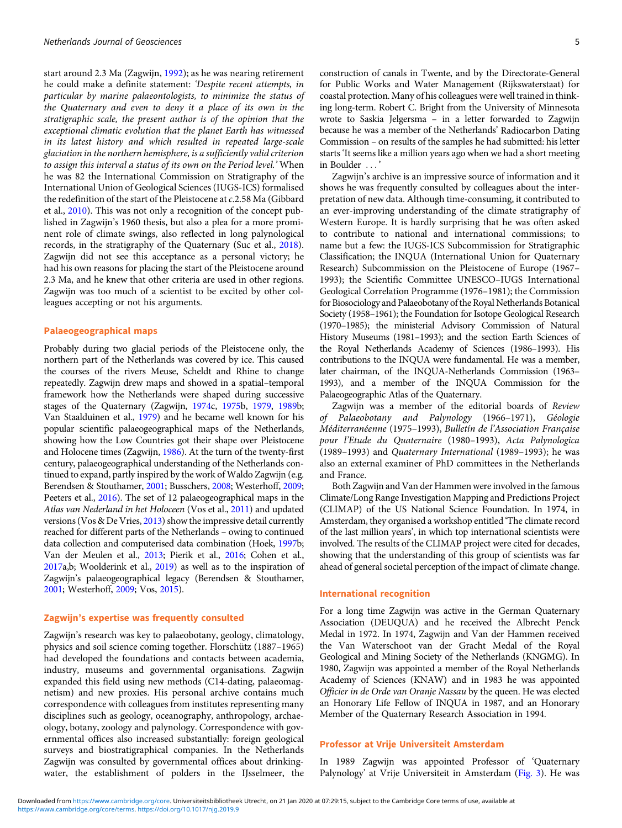start around 2.3 Ma (Zagwijn, [1992](#page-7-0)); as he was nearing retirement he could make a definite statement: 'Despite recent attempts, in particular by marine palaeontologists, to minimize the status of the Quaternary and even to deny it a place of its own in the stratigraphic scale, the present author is of the opinion that the exceptional climatic evolution that the planet Earth has witnessed in its latest history and which resulted in repeated large-scale glaciation in the northern hemisphere, is a sufficiently valid criterion to assign this interval a status of its own on the Period level.' When he was 82 the International Commission on Stratigraphy of the International Union of Geological Sciences (IUGS-ICS) formalised the redefinition of the start of the Pleistocene at c.2.58 Ma (Gibbard et al., [2010](#page-5-0)). This was not only a recognition of the concept published in Zagwijn's 1960 thesis, but also a plea for a more prominent role of climate swings, also reflected in long palynological records, in the stratigraphy of the Quaternary (Suc et al., [2018\)](#page-6-0). Zagwijn did not see this acceptance as a personal victory; he had his own reasons for placing the start of the Pleistocene around 2.3 Ma, and he knew that other criteria are used in other regions. Zagwijn was too much of a scientist to be excited by other colleagues accepting or not his arguments.

## Palaeogeographical maps

Probably during two glacial periods of the Pleistocene only, the northern part of the Netherlands was covered by ice. This caused the courses of the rivers Meuse, Scheldt and Rhine to change repeatedly. Zagwijn drew maps and showed in a spatial–temporal framework how the Netherlands were shaped during successive stages of the Quaternary (Zagwijn, [1974c](#page-6-0), [1975](#page-7-0)b, [1979,](#page-7-0) [1989](#page-7-0)b; Van Staalduinen et al., [1979](#page-6-0)) and he became well known for his popular scientific palaeogeographical maps of the Netherlands, showing how the Low Countries got their shape over Pleistocene and Holocene times (Zagwijn, [1986](#page-7-0)). At the turn of the twenty-first century, palaeogeographical understanding of the Netherlands continued to expand, partly inspired by the work of Waldo Zagwijn (e.g. Berendsen & Stouthamer, [2001;](#page-5-0) Busschers, [2008;](#page-5-0) Westerhoff, [2009;](#page-6-0) Peeters et al., [2016\)](#page-6-0). The set of 12 palaeogeographical maps in the Atlas van Nederland in het Holoceen (Vos et al., [2011\)](#page-6-0) and updated versions (Vos & De Vries, [2013](#page-6-0)) show the impressive detail currently reached for different parts of the Netherlands – owing to continued data collection and computerised data combination (Hoek, [1997](#page-6-0)b; Van der Meulen et al., [2013](#page-6-0); Pierik et al., [2016](#page-6-0); Cohen et al., [2017a](#page-5-0),b; Woolderink et al., [2019](#page-6-0)) as well as to the inspiration of Zagwijn's palaeogeographical legacy (Berendsen & Stouthamer, [2001;](#page-5-0) Westerhoff, [2009;](#page-6-0) Vos, [2015\)](#page-6-0).

## Zagwijn's expertise was frequently consulted

Zagwijn's research was key to palaeobotany, geology, climatology, physics and soil science coming together. Florschütz (1887–1965) had developed the foundations and contacts between academia, industry, museums and governmental organisations. Zagwijn expanded this field using new methods (C14-dating, palaeomagnetism) and new proxies. His personal archive contains much correspondence with colleagues from institutes representing many disciplines such as geology, oceanography, anthropology, archaeology, botany, zoology and palynology. Correspondence with governmental offices also increased substantially: foreign geological surveys and biostratigraphical companies. In the Netherlands Zagwijn was consulted by governmental offices about drinkingwater, the establishment of polders in the IJsselmeer, the

Zagwijn's archive is an impressive source of information and it shows he was frequently consulted by colleagues about the interpretation of new data. Although time-consuming, it contributed to an ever-improving understanding of the climate stratigraphy of Western Europe. It is hardly surprising that he was often asked to contribute to national and international commissions; to name but a few: the IUGS-ICS Subcommission for Stratigraphic Classification; the INQUA (International Union for Quaternary Research) Subcommission on the Pleistocene of Europe (1967– 1993); the Scientific Committee UNESCO–IUGS International Geological Correlation Programme (1976–1981); the Commission for Biosociology and Palaeobotany of the Royal Netherlands Botanical Society (1958–1961); the Foundation for Isotope Geological Research (1970–1985); the ministerial Advisory Commission of Natural History Museums (1981–1993); and the section Earth Sciences of the Royal Netherlands Academy of Sciences (1986–1993). His contributions to the INQUA were fundamental. He was a member, later chairman, of the INQUA-Netherlands Commission (1963– 1993), and a member of the INQUA Commission for the Palaeogeographic Atlas of the Quaternary.

Zagwijn was a member of the editorial boards of Review of Palaeobotany and Palynology (1966–1971), Géologie Méditerranéenne (1975–1993), Bulletín de l'Association Française pour l'Etude du Quaternaire (1980–1993), Acta Palynologica (1989–1993) and Quaternary International (1989–1993); he was also an external examiner of PhD committees in the Netherlands and France.

Both Zagwijn and Van der Hammen were involved in the famous Climate/Long Range Investigation Mapping and Predictions Project (CLIMAP) of the US National Science Foundation. In 1974, in Amsterdam, they organised a workshop entitled 'The climate record of the last million years', in which top international scientists were involved. The results of the CLIMAP project were cited for decades, showing that the understanding of this group of scientists was far ahead of general societal perception of the impact of climate change.

#### International recognition

For a long time Zagwijn was active in the German Quaternary Association (DEUQUA) and he received the Albrecht Penck Medal in 1972. In 1974, Zagwijn and Van der Hammen received the Van Waterschoot van der Gracht Medal of the Royal Geological and Mining Society of the Netherlands (KNGMG). In 1980, Zagwijn was appointed a member of the Royal Netherlands Academy of Sciences (KNAW) and in 1983 he was appointed Officier in de Orde van Oranje Nassau by the queen. He was elected an Honorary Life Fellow of INQUA in 1987, and an Honorary Member of the Quaternary Research Association in 1994.

#### Professor at Vrije Universiteit Amsterdam

In 1989 Zagwijn was appointed Professor of 'Quaternary Palynology' at Vrije Universiteit in Amsterdam [\(Fig. 3\)](#page-5-0). He was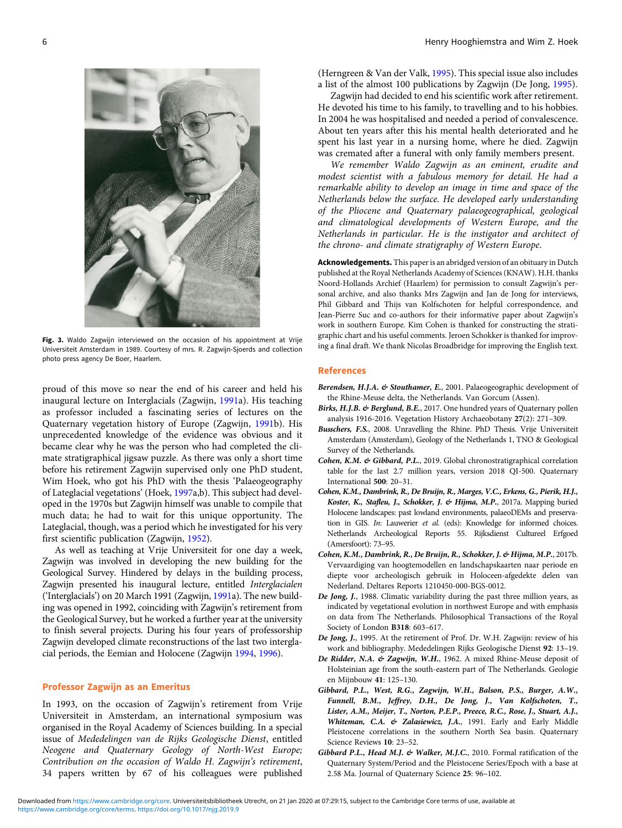Universiteit Amsterdam in 1989. Courtesy of mrs. R. Zagwijn-Sjoerds and collection photo press agency De Boer, Haarlem.

proud of this move so near the end of his career and held his inaugural lecture on Interglacials (Zagwijn, [1991](#page-7-0)a). His teaching as professor included a fascinating series of lectures on the Quaternary vegetation history of Europe (Zagwijn, [1991](#page-7-0)b). His unprecedented knowledge of the evidence was obvious and it became clear why he was the person who had completed the climate stratigraphical jigsaw puzzle. As there was only a short time before his retirement Zagwijn supervised only one PhD student, Wim Hoek, who got his PhD with the thesis 'Palaeogeography of Lateglacial vegetations' (Hoek, [1997a](#page-6-0),b). This subject had developed in the 1970s but Zagwijn himself was unable to compile that much data; he had to wait for this unique opportunity. The Lateglacial, though, was a period which he investigated for his very first scientific publication (Zagwijn, [1952\)](#page-6-0).

As well as teaching at Vrije Universiteit for one day a week, Zagwijn was involved in developing the new building for the Geological Survey. Hindered by delays in the building process, Zagwijn presented his inaugural lecture, entitled Interglacialen ('Interglacials') on 20 March 1991 (Zagwijn, [1991a](#page-7-0)). The new building was opened in 1992, coinciding with Zagwijn's retirement from the Geological Survey, but he worked a further year at the university to finish several projects. During his four years of professorship Zagwijn developed climate reconstructions of the last two interglacial periods, the Eemian and Holocene (Zagwijn [1994,](#page-7-0) [1996\)](#page-7-0).

# Professor Zagwijn as an Emeritus

In 1993, on the occasion of Zagwijn's retirement from Vrije Universiteit in Amsterdam, an international symposium was organised in the Royal Academy of Sciences building. In a special issue of Mededelingen van de Rijks Geologische Dienst, entitled Neogene and Quaternary Geology of North-West Europe; Contribution on the occasion of Waldo H. Zagwijn's retirement, 34 papers written by 67 of his colleagues were published (Herngreen & Van der Valk, [1995\)](#page-6-0). This special issue also includes a list of the almost 100 publications by Zagwijn (De Jong, 1995).

Zagwijn had decided to end his scientific work after retirement. He devoted his time to his family, to travelling and to his hobbies. In 2004 he was hospitalised and needed a period of convalescence. About ten years after this his mental health deteriorated and he spent his last year in a nursing home, where he died. Zagwijn was cremated after a funeral with only family members present.

We remember Waldo Zagwijn as an eminent, erudite and modest scientist with a fabulous memory for detail. He had a remarkable ability to develop an image in time and space of the Netherlands below the surface. He developed early understanding of the Pliocene and Quaternary palaeogeographical, geological and climatological developments of Western Europe, and the Netherlands in particular. He is the instigator and architect of the chrono- and climate stratigraphy of Western Europe.

Acknowledgements. This paper is an abridged version of an obituary in Dutch published at the Royal Netherlands Academy of Sciences (KNAW). H.H. thanks Noord-Hollands Archief (Haarlem) for permission to consult Zagwijn's personal archive, and also thanks Mrs Zagwijn and Jan de Jong for interviews, Phil Gibbard and Thijs van Kolfschoten for helpful correspondence, and Jean-Pierre Suc and co-authors for their informative paper about Zagwijn's work in southern Europe. Kim Cohen is thanked for constructing the stratigraphic chart and his useful comments. Jeroen Schokker is thanked for improving a final draft. We thank Nicolas Broadbridge for improving the English text.

#### References

- Berendsen, H.J.A. & Stouthamer, E., 2001. Palaeogeographic development of the Rhine-Meuse delta, the Netherlands. Van Gorcum (Assen).
- Birks, H.J.B. & Berglund, B.E., 2017. One hundred years of Quaternary pollen analysis 1916-2016. Vegetation History Archaeobotany 27(2): 271–309.
- Busschers, F.S., 2008. Unravelling the Rhine. PhD Thesis. Vrije Universiteit Amsterdam (Amsterdam), Geology of the Netherlands 1, TNO & Geological Survey of the Netherlands.
- Cohen, K.M. & Gibbard, P.L., 2019. Global chronostratigraphical correlation table for the last 2.7 million years, version 2018 QI-500. Quaternary International 500: 20–31.
- Cohen, K.M., Dambrink, R., De Bruijn, R., Marges, V.C., Erkens, G., Pierik, H.J., Koster, K., Stafleu, J., Schokker, J. & Hijma, M.P., 2017a. Mapping buried Holocene landscapes: past lowland environments, palaeoDEMs and preservation in GIS. In: Lauwerier et al. (eds): Knowledge for informed choices. Netherlands Archeological Reports 55. Rijksdienst Cultureel Erfgoed (Amersfoort): 73–95.
- Cohen, K.M., Dambrink, R., De Bruijn, R., Schokker, J. & Hijma, M.P., 2017b. Vervaardiging van hoogtemodellen en landschapskaarten naar periode en diepte voor archeologisch gebruik in Holoceen-afgedekte delen van Nederland. Deltares Reports 1210450-000-BGS-0012.
- De Jong, J., 1988. Climatic variability during the past three million years, as indicated by vegetational evolution in northwest Europe and with emphasis on data from The Netherlands. Philosophical Transactions of the Royal Society of London B318: 603–617.
- De Jong, J., 1995. At the retirement of Prof. Dr. W.H. Zagwijn: review of his work and bibliography. Mededelingen Rijks Geologische Dienst 92: 13–19.
- De Ridder, N.A. & Zagwijn, W.H., 1962. A mixed Rhine-Meuse deposit of Holsteinian age from the south-eastern part of The Netherlands. Geologie en Mijnbouw 41: 125–130.
- Gibbard, P.L., West, R.G., Zagwijn, W.H., Balson, P.S., Burger, A.W., Funnell, B.M., Jeffrey, D.H., De Jong, J., Van Kolfschoten, T., Lister, A.M., Meijer, T., Norton, P.E.P., Preece, R.C., Rose, J., Stuart, A.J., Whiteman, C.A. & Zalasiewicz, J.A., 1991. Early and Early Middle Pleistocene correlations in the southern North Sea basin. Quaternary Science Reviews 10: 23–52.
- Gibbard P.L., Head M.J. & Walker, M.J.C., 2010. Formal ratification of the Quaternary System/Period and the Pleistocene Series/Epoch with a base at 2.58 Ma. Journal of Quaternary Science 25: 96–102.

<span id="page-5-0"></span>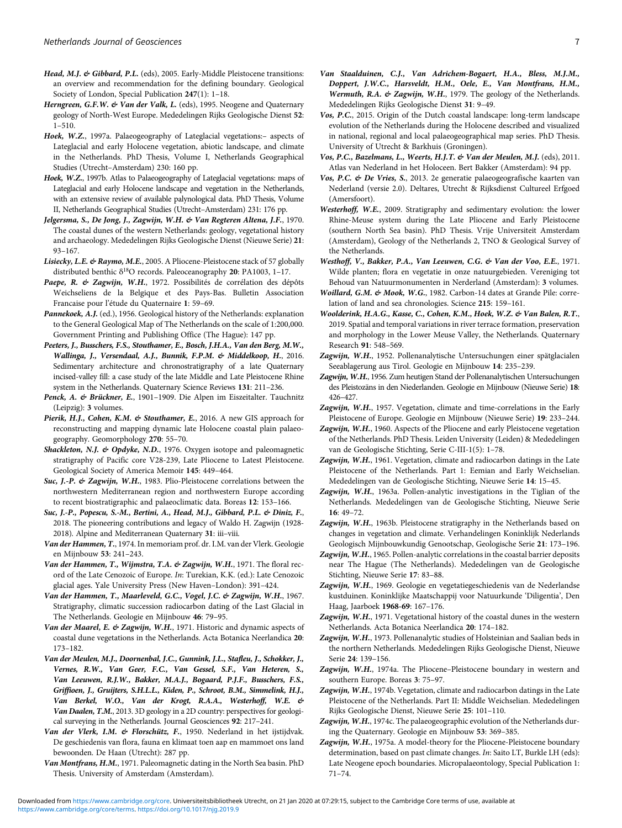- <span id="page-6-0"></span>Head, M.J. & Gibbard, P.L. (eds), 2005. Early-Middle Pleistocene transitions: an overview and recommendation for the defining boundary. Geological Society of London, Special Publication 247(1): 1–18.
- Herngreen, G.F.W. & Van der Valk, L. (eds), 1995. Neogene and Quaternary geology of North-West Europe. Mededelingen Rijks Geologische Dienst 52: 1–510.
- Hoek, W.Z., 1997a. Palaeogeography of Lateglacial vegetations:– aspects of Lateglacial and early Holocene vegetation, abiotic landscape, and climate in the Netherlands. PhD Thesis, Volume I, Netherlands Geographical Studies (Utrecht–Amsterdam) 230: 160 pp.
- Hoek, W.Z., 1997b. Atlas to Palaeogeography of Lateglacial vegetations: maps of Lateglacial and early Holocene landscape and vegetation in the Netherlands, with an extensive review of available palynological data. PhD Thesis, Volume II, Netherlands Geographical Studies (Utrecht–Amsterdam) 231: 176 pp.
- Jelgersma, S., De Jong, J., Zagwijn, W.H. & Van Regteren Altena, J.F., 1970. The coastal dunes of the western Netherlands: geology, vegetational history and archaeology. Mededelingen Rijks Geologische Dienst (Nieuwe Serie) 21: 93–167.
- Lisiecky, L.E. & Raymo, M.E., 2005. A Pliocene-Pleistocene stack of 57 globally distributed benthic δ<sup>18</sup>O records. Paleoceanography **20**: PA1003, 1-17.
- Paepe, R. & Zagwijn, W.H., 1972. Possibilités de corrélation des dépôts Weichseliens de la Belgique et des Pays-Bas. Bulletin Association Francaise pour l'étude du Quaternaire 1: 59–69.
- Pannekoek, A.J. (ed.), 1956. Geological history of the Netherlands: explanation to the General Geological Map of The Netherlands on the scale of 1:200,000. Government Printing and Publishing Office (The Hague): 147 pp.
- Peeters, J., Busschers, F.S., Stouthamer, E., Bosch, J.H.A., Van den Berg, M.W., Wallinga, J., Versendaal, A.J., Bunnik, F.P.M. & Middelkoop, H., 2016. Sedimentary architecture and chronostratigraphy of a late Quaternary incised-valley fill: a case study of the late Middle and Late Pleistocene Rhine system in the Netherlands. Quaternary Science Reviews 131: 211–236.
- Penck, A. & Brückner, E., 1901-1909. Die Alpen im Eiszeitalter. Tauchnitz (Leipzig): 3 volumes.
- Pierik, H.J., Cohen, K.M. & Stouthamer, E., 2016. A new GIS approach for reconstructing and mapping dynamic late Holocene coastal plain palaeogeography. Geomorphology 270: 55–70.
- Shackleton, N.J. & Opdyke, N.D., 1976. Oxygen isotope and paleomagnetic stratigraphy of Pacific core V28-239, Late Pliocene to Latest Pleistocene. Geological Society of America Memoir 145: 449–464.
- Suc, J.-P. & Zagwijn, W.H., 1983. Plio-Pleistocene correlations between the northwestern Mediterranean region and northwestern Europe according to recent biostratigraphic and palaeoclimatic data. Boreas 12: 153–166.
- Suc, J.-P., Popescu, S.-M., Bertini, A., Head, M.J., Gibbard, P.L. & Diniz, F., 2018. The pioneering contributions and legacy of Waldo H. Zagwijn (1928- 2018). Alpine and Mediterranean Quaternary 31: iii–viii.
- Van der Hammen, T., 1974. In memoriam prof. dr. I.M. van der Vlerk. Geologie en Mijnbouw 53: 241–243.
- Van der Hammen, T., Wijmstra, T.A. & Zagwijn, W.H., 1971. The floral record of the Late Cenozoic of Europe. In: Turekian, K.K. (ed.): Late Cenozoic glacial ages. Yale University Press (New Haven–London): 391–424.
- Van der Hammen, T., Maarleveld, G.C., Vogel, J.C. & Zagwijn, W.H., 1967. Stratigraphy, climatic succession radiocarbon dating of the Last Glacial in The Netherlands. Geologie en Mijnbouw 46: 79–95.
- Van der Maarel, E. & Zagwijn, W.H., 1971. Historic and dynamic aspects of coastal dune vegetations in the Netherlands. Acta Botanica Neerlandica 20: 173–182.
- Van der Meulen, M.J., Doornenbal, J.C., Gunnink, J.L., Stafleu, J., Schokker, J., Vernes, R.W., Van Geer, F.C., Van Gessel, S.F., Van Heteren, S., Van Leeuwen, R.J.W., Bakker, M.A.J., Bogaard, P.J.F., Busschers, F.S., Griffioen, J., Gruijters, S.H.L.L., Kiden, P., Schroot, B.M., Simmelink, H.J., Van Berkel, W.O., Van der Krogt, R.A.A., Westerhoff, W.E. & Van Daalen, T.M., 2013. 3D geology in a 2D country: perspectives for geological surveying in the Netherlands. Journal Geosciences 92: 217–241.
- Van der Vlerk, I.M. & Florschütz, F., 1950. Nederland in het ijstijdvak. De geschiedenis van flora, fauna en klimaat toen aap en mammoet ons land bewoonden. De Haan (Utrecht): 287 pp.
- Van Montfrans, H.M., 1971. Paleomagnetic dating in the North Sea basin. PhD Thesis. University of Amsterdam (Amsterdam).
- Van Staalduinen, C.J., Van Adrichem-Bogaert, H.A., Bless, M.J.M., Doppert, J.W.C., Harsveldt, H.M., Oele, E., Van Montfrans, H.M., Wermuth, R.A. & Zagwijn, W.H., 1979. The geology of the Netherlands. Mededelingen Rijks Geologische Dienst 31: 9–49.
- Vos, P.C., 2015. Origin of the Dutch coastal landscape: long-term landscape evolution of the Netherlands during the Holocene described and visualized in national, regional and local palaeogeographical map series. PhD Thesis. University of Utrecht & Barkhuis (Groningen).
- Vos, P.C., Bazelmans, L., Weerts, H.J.T. & Van der Meulen, M.J. (eds), 2011. Atlas van Nederland in het Holoceen. Bert Bakker (Amsterdam): 94 pp.
- Vos, P.C. & De Vries, S., 2013. 2e generatie palaeogeografische kaarten van Nederland (versie 2.0). Deltares, Utrecht & Rijksdienst Cultureel Erfgoed (Amersfoort).
- Westerhoff, W.E., 2009. Stratigraphy and sedimentary evolution: the lower Rhine-Meuse system during the Late Pliocene and Early Pleistocene (southern North Sea basin). PhD Thesis. Vrije Universiteit Amsterdam (Amsterdam), Geology of the Netherlands 2, TNO & Geological Survey of the Netherlands.
- Westhoff, V., Bakker, P.A., Van Leeuwen, C.G. & Van der Voo, E.E., 1971. Wilde planten; flora en vegetatie in onze natuurgebieden. Vereniging tot Behoud van Natuurmonumenten in Nerderland (Amsterdam): 3 volumes.
- Woillard, G.M. & Mook, W.G., 1982. Carbon-14 dates at Grande Pile: correlation of land and sea chronologies. Science 215: 159–161.
- Woolderink, H.A.G., Kasse, C., Cohen, K.M., Hoek, W.Z. & Van Balen, R.T., 2019. Spatial and temporal variations in river terrace formation, preservation and morphology in the Lower Meuse Valley, the Netherlands. Quaternary Research 91: 548–569.
- Zagwijn, W.H., 1952. Pollenanalytische Untersuchungen einer spätglacialen Seeablagerung aus Tirol. Geologie en Mijnbouw 14: 235–239.
- Zagwijn, W.H., 1956. Zum heutigen Stand der Pollenanalytischen Untersuchungen des Pleistozäns in den Niederlanden. Geologie en Mijnbouw (Nieuwe Serie) 18: 426–427.
- Zagwijn, W.H., 1957. Vegetation, climate and time-correlations in the Early Pleistocene of Europe. Geologie en Mijnbouw (Nieuwe Serie) 19: 233–244.
- Zagwijn, W.H., 1960. Aspects of the Pliocene and early Pleistocene vegetation of the Netherlands. PhD Thesis. Leiden University (Leiden) & Mededelingen van de Geologische Stichting, Serie C-III-1(5): 1–78.
- Zagwijn, W.H., 1961. Vegetation, climate and radiocarbon datings in the Late Pleistocene of the Netherlands. Part 1: Eemian and Early Weichselian. Mededelingen van de Geologische Stichting, Nieuwe Serie 14: 15–45.
- Zagwijn, W.H., 1963a. Pollen-analytic investigations in the Tiglian of the Netherlands. Mededelingen van de Geologische Stichting, Nieuwe Serie 16: 49–72.
- Zagwijn, W.H., 1963b. Pleistocene stratigraphy in the Netherlands based on changes in vegetation and climate. Verhandelingen Koninklijk Nederlands Geologisch Mijnbouwkundig Genootschap, Geologische Serie 21: 173–196.
- Zagwijn, W.H., 1965. Pollen-analytic correlations in the coastal barrier deposits near The Hague (The Netherlands). Mededelingen van de Geologische Stichting, Nieuwe Serie 17: 83–88.
- Zagwijn, W.H., 1969. Geologie en vegetatiegeschiedenis van de Nederlandse kustduinen. Koninklijke Maatschappij voor Natuurkunde 'Diligentia', Den Haag, Jaarboek 1968-69: 167–176.
- Zagwijn, W.H., 1971. Vegetational history of the coastal dunes in the western Netherlands. Acta Botanica Neerlandica 20: 174–182.
- Zagwijn, W.H., 1973. Pollenanalytic studies of Holsteinian and Saalian beds in the northern Netherlands. Mededelingen Rijks Geologische Dienst, Nieuwe Serie 24: 139–156.
- Zagwijn, W.H., 1974a. The Pliocene-Pleistocene boundary in western and southern Europe. Boreas 3: 75–97.
- Zagwijn, W.H., 1974b. Vegetation, climate and radiocarbon datings in the Late Pleistocene of the Netherlands. Part II: Middle Weichselian. Mededelingen Rijks Geologische Dienst, Nieuwe Serie 25: 101–110.
- Zagwijn, W.H., 1974c. The palaeogeographic evolution of the Netherlands during the Quaternary. Geologie en Mijnbouw 53: 369–385.
- Zagwijn, W.H., 1975a. A model-theory for the Pliocene-Pleistocene boundary determination, based on past climate changes. In: Saito LT, Burkle LH (eds): Late Neogene epoch boundaries. Micropalaeontology, Special Publication 1: 71–74.